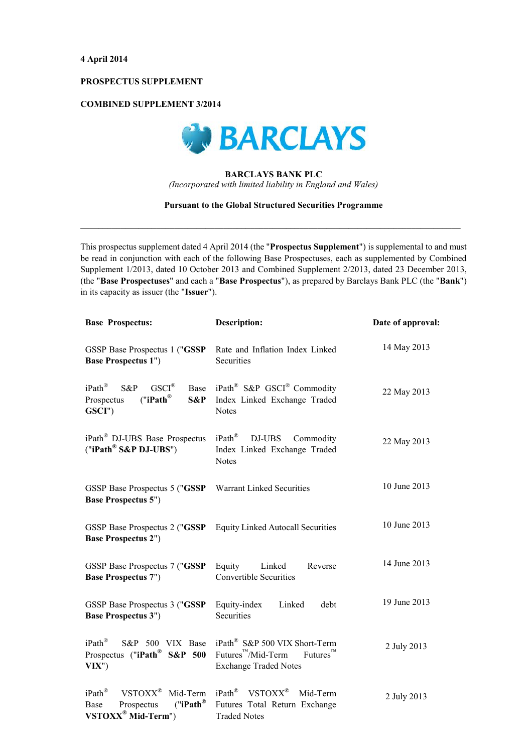# PROSPECTUS SUPPLEMENT

## **COMBINED SUPPLEMENT 3/2014**



# **BARCLAYS BANK PLC**

(Incorporated with limited liability in England and Wales)

### **Pursuant to the Global Structured Securities Programme**

This prospectus supplement dated 4 April 2014 (the "Prospectus Supplement") is supplemental to and must be read in conjunction with each of the following Base Prospectuses, each as supplemented by Combined Supplement 1/2013, dated 10 October 2013 and Combined Supplement 2/2013, dated 23 December 2013, (the "Base Prospectuses" and each a "Base Prospectus"), as prepared by Barclays Bank PLC (the "Bank") in its capacity as issuer (the "Issuer").

| <b>Base Prospectus:</b>                                                                                           | <b>Description:</b>                                                                                                                             | Date of approval: |
|-------------------------------------------------------------------------------------------------------------------|-------------------------------------------------------------------------------------------------------------------------------------------------|-------------------|
| GSSP Base Prospectus 1 ("GSSP<br><b>Base Prospectus 1")</b>                                                       | Rate and Inflation Index Linked<br>Securities                                                                                                   | 14 May 2013       |
| $iPath^{\circledR}$<br>$GSCI^{\circledR}$<br>S&P<br>Base<br>("iPath <sup>®</sup> )<br>S&P<br>Prospectus<br>GSCI") | iPath <sup>®</sup> S&P GSCI <sup>®</sup> Commodity<br>Index Linked Exchange Traded<br><b>Notes</b>                                              | 22 May 2013       |
| iPath <sup>®</sup> DJ-UBS Base Prospectus<br>("iPath® S&P DJ-UBS")                                                | $iPath^{\circledR}$<br>DJ-UBS<br>Commodity<br>Index Linked Exchange Traded<br><b>Notes</b>                                                      | 22 May 2013       |
| GSSP Base Prospectus 5 ("GSSP<br><b>Base Prospectus 5")</b>                                                       | <b>Warrant Linked Securities</b>                                                                                                                | 10 June 2013      |
| GSSP Base Prospectus 2 ("GSSP<br><b>Base Prospectus 2")</b>                                                       | <b>Equity Linked Autocall Securities</b>                                                                                                        | 10 June 2013      |
| GSSP Base Prospectus 7 ("GSSP<br><b>Base Prospectus 7")</b>                                                       | Equity<br>Linked<br>Reverse<br><b>Convertible Securities</b>                                                                                    | 14 June 2013      |
| GSSP Base Prospectus 3 ("GSSP<br><b>Base Prospectus 3")</b>                                                       | Equity-index<br>Linked<br>debt<br>Securities                                                                                                    | 19 June 2013      |
| $iPath^{\circledR}$<br>S&P 500 VIX Base<br>Prospectus ("iPath <sup>®</sup> S&P 500<br>VIX'                        | iPath <sup>®</sup> S&P 500 VIX Short-Term<br>Futures <sup>™</sup> /Mid-Term<br>Future <sub>1</sub> <sup>T</sup><br><b>Exchange Traded Notes</b> | 2 July 2013       |
| iPath®<br>VSTOXX <sup>®</sup><br>Mid-Term<br>("iPath <sup>®</sup> )<br>Prospectus<br>Base<br>VSTOXX® Mid-Term")   | iPath <sup>®</sup> VSTOXX <sup>®</sup><br>Mid-Term<br>Futures Total Return Exchange<br><b>Traded Notes</b>                                      | 2 July 2013       |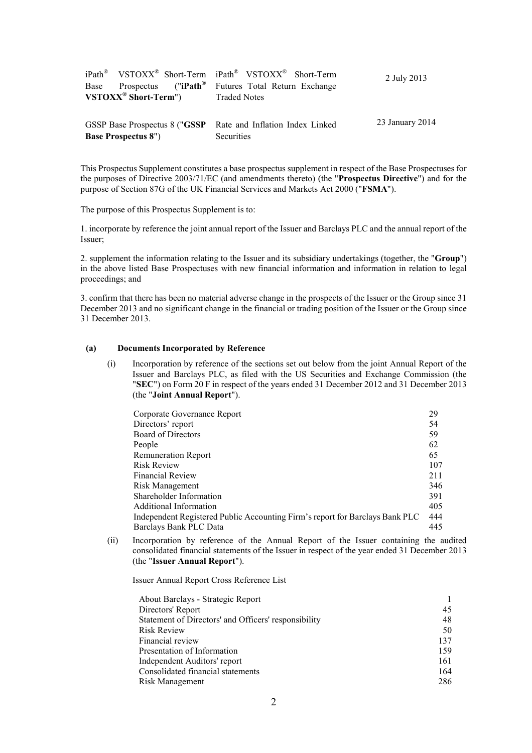|                                     |                             |                        | iPath <sup>®</sup> VSTOXX <sup>®</sup> Short-Term iPath <sup>®</sup> VSTOXX <sup>®</sup> Short-Term | 2 July 2013     |
|-------------------------------------|-----------------------------|------------------------|-----------------------------------------------------------------------------------------------------|-----------------|
| Base                                |                             | Prospectus $("iPath®]$ | Futures Total Return Exchange                                                                       |                 |
| $VSTOXX^{\circledast}$ Short-Term") |                             |                        | <b>Traded Notes</b>                                                                                 |                 |
|                                     |                             |                        |                                                                                                     |                 |
|                                     |                             |                        | GSSP Base Prospectus 8 ("GSSP Rate and Inflation Index Linked"                                      | 23 January 2014 |
|                                     | <b>Base Prospectus 8"</b> ) |                        | <b>Securities</b>                                                                                   |                 |

This Prospectus Supplement constitutes a base prospectus supplement in respect of the Base Prospectuses for the purposes of Directive 2003/71/EC (and amendments thereto) (the "Prospectus Directive") and for the purpose of Section 87G of the UK Financial Services and Markets Act 2000 ("FSMA").

The purpose of this Prospectus Supplement is to:

1. incorporate by reference the joint annual report of the Issuer and Barclays PLC and the annual report of the Issuer:

2. supplement the information relating to the Issuer and its subsidiary undertakings (together, the "Group") in the above listed Base Prospectuses with new financial information and information in relation to legal proceedings; and

3. confirm that there has been no material adverse change in the prospects of the Issuer or the Group since 31 December 2013 and no significant change in the financial or trading position of the Issuer or the Group since 31 December 2013.

### $(a)$ **Documents Incorporated by Reference**

Incorporation by reference of the sections set out below from the joint Annual Report of the  $(i)$ Issuer and Barclays PLC, as filed with the US Securities and Exchange Commission (the "SEC") on Form 20 F in respect of the years ended 31 December 2012 and 31 December 2013 (the "Joint Annual Report").

| Corporate Governance Report                                                  |     |
|------------------------------------------------------------------------------|-----|
| Directors' report                                                            | 54  |
| <b>Board of Directors</b>                                                    | 59  |
| People                                                                       | 62  |
| <b>Remuneration Report</b>                                                   | 65  |
| <b>Risk Review</b>                                                           | 107 |
| <b>Financial Review</b>                                                      | 211 |
| Risk Management                                                              | 346 |
| Shareholder Information                                                      | 391 |
| Additional Information                                                       | 405 |
| Independent Registered Public Accounting Firm's report for Barclays Bank PLC | 444 |
| Barclays Bank PLC Data                                                       | 445 |

Incorporation by reference of the Annual Report of the Issuer containing the audited  $(ii)$ consolidated financial statements of the Issuer in respect of the year ended 31 December 2013 (the "Issuer Annual Report").

Issuer Annual Report Cross Reference List

| About Barclays - Strategic Report                    |     |
|------------------------------------------------------|-----|
| Directors' Report                                    | 45  |
| Statement of Directors' and Officers' responsibility | 48  |
| <b>Risk Review</b>                                   | 50  |
| Financial review                                     | 137 |
| Presentation of Information                          | 159 |
| Independent Auditors' report                         | 161 |
| Consolidated financial statements                    | 164 |
| Risk Management                                      | 286 |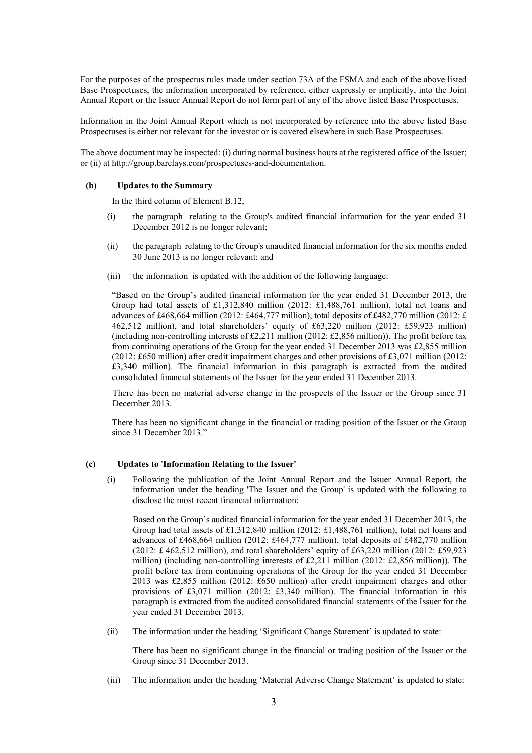For the purposes of the prospectus rules made under section 73A of the FSMA and each of the above listed Base Prospectuses, the information incorporated by reference, either expressly or implicitly, into the Joint Annual Report or the Issuer Annual Report do not form part of any of the above listed Base Prospectuses.

Information in the Joint Annual Report which is not incorporated by reference into the above listed Base Prospectuses is either not relevant for the investor or is covered elsewhere in such Base Prospectuses.

The above document may be inspected: (i) during normal business hours at the registered office of the Issuer; or (ii) at http://group.barclays.com/prospectuses-and-documentation.

#### $(b)$ **Updates to the Summary**

In the third column of Element B.12.

- the paragraph relating to the Group's audited financial information for the year ended 31  $(i)$ December 2012 is no longer relevant;
- $(ii)$ the paragraph relating to the Group's unaudited financial information for the six months ended 30 June 2013 is no longer relevant; and
- $(iii)$ the information is updated with the addition of the following language:

"Based on the Group's audited financial information for the year ended 31 December 2013, the Group had total assets of £1,312,840 million (2012: £1,488,761 million), total net loans and advances of £468,664 million (2012: £464,777 million), total deposits of £482,770 million (2012: £ 462,512 million), and total shareholders' equity of £63,220 million (2012: £59,923 million) (including non-controlling interests of £2.211 million (2012; £2.856 million)). The profit before tax from continuing operations of the Group for the year ended 31 December 2013 was £2,855 million  $(2012; \text{\pounds}650 \text{ million})$  after credit impairment charges and other provisions of £3,071 million (2012; £3,340 million). The financial information in this paragraph is extracted from the audited consolidated financial statements of the Issuer for the year ended 31 December 2013.

There has been no material adverse change in the prospects of the Issuer or the Group since 31 December 2013.

There has been no significant change in the financial or trading position of the Issuer or the Group since 31 December 2013."

### **Updates to 'Information Relating to the Issuer'**  $\left( \mathbf{c} \right)$

Following the publication of the Joint Annual Report and the Issuer Annual Report, the  $(i)$ information under the heading 'The Issuer and the Group' is updated with the following to disclose the most recent financial information:

Based on the Group's audited financial information for the year ended 31 December 2013, the Group had total assets of £1.312.840 million (2012: £1.488.761 million), total net loans and advances of £468,664 million (2012: £464,777 million), total deposits of £482,770 million  $(2012; \pounds 462, 512 \text{ million})$ , and total shareholders' equity of £63,220 million  $(2012; \pounds 59, 923$ million) (including non-controlling interests of £2,211 million (2012: £2,856 million)). The profit before tax from continuing operations of the Group for the year ended 31 December 2013 was £2,855 million (2012: £650 million) after credit impairment charges and other provisions of £3,071 million (2012: £3,340 million). The financial information in this paragraph is extracted from the audited consolidated financial statements of the Issuer for the year ended 31 December 2013.

The information under the heading 'Significant Change Statement' is updated to state:  $(ii)$ 

There has been no significant change in the financial or trading position of the Issuer or the Group since 31 December 2013.

 $(iii)$ The information under the heading 'Material Adverse Change Statement' is updated to state: